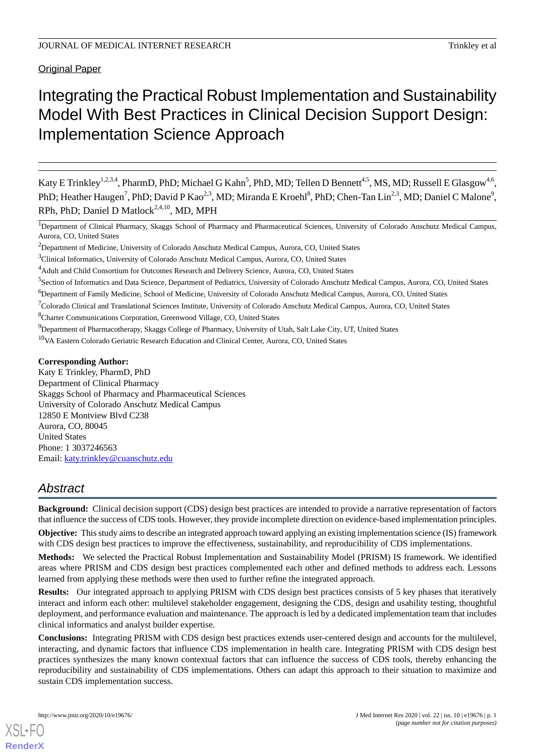Original Paper

# Integrating the Practical Robust Implementation and Sustainability Model With Best Practices in Clinical Decision Support Design: Implementation Science Approach

Katy E Trinkley<sup>1,2,3,4</sup>, PharmD, PhD; Michael G Kahn<sup>5</sup>, PhD, MD; Tellen D Bennett<sup>4,5</sup>, MS, MD; Russell E Glasgow<sup>4,6</sup>, PhD; Heather Haugen<sup>7</sup>, PhD; David P Kao<sup>2,3</sup>, MD; Miranda E Kroehl<sup>8</sup>, PhD; Chen-Tan Lin<sup>2,3</sup>, MD; Daniel C Malone<sup>9</sup>, RPh, PhD; Daniel D Matlock<sup>2,4,10</sup>, MD, MPH

<sup>1</sup>Department of Clinical Pharmacy, Skaggs School of Pharmacy and Pharmaceutical Sciences, University of Colorado Anschutz Medical Campus, Aurora, CO, United States

- <sup>6</sup>Department of Family Medicine, School of Medicine, University of Colorado Anschutz Medical Campus, Aurora, CO, United States
- $7$ Colorado Clinical and Translational Sciences Institute, University of Colorado Anschutz Medical Campus, Aurora, CO, United States

<sup>8</sup>Charter Communications Corporation, Greenwood Village, CO, United States

<sup>9</sup>Department of Pharmacotherapy, Skaggs College of Pharmacy, University of Utah, Salt Lake City, UT, United States

<sup>10</sup>VA Eastern Colorado Geriatric Research Education and Clinical Center, Aurora, CO, United States

#### **Corresponding Author:**

Katy E Trinkley, PharmD, PhD Department of Clinical Pharmacy Skaggs School of Pharmacy and Pharmaceutical Sciences University of Colorado Anschutz Medical Campus 12850 E Montview Blvd C238 Aurora, CO, 80045 United States Phone: 1 3037246563 Email: [katy.trinkley@cuanschutz.edu](mailto:katy.trinkley@cuanschutz.edu)

# *Abstract*

**Background:** Clinical decision support (CDS) design best practices are intended to provide a narrative representation of factors that influence the success of CDS tools. However, they provide incomplete direction on evidence-based implementation principles.

**Objective:** This study aims to describe an integrated approach toward applying an existing implementation science (IS) framework with CDS design best practices to improve the effectiveness, sustainability, and reproducibility of CDS implementations.

**Methods:** We selected the Practical Robust Implementation and Sustainability Model (PRISM) IS framework. We identified areas where PRISM and CDS design best practices complemented each other and defined methods to address each. Lessons learned from applying these methods were then used to further refine the integrated approach.

**Results:** Our integrated approach to applying PRISM with CDS design best practices consists of 5 key phases that iteratively interact and inform each other: multilevel stakeholder engagement, designing the CDS, design and usability testing, thoughtful deployment, and performance evaluation and maintenance. The approach is led by a dedicated implementation team that includes clinical informatics and analyst builder expertise.

**Conclusions:** Integrating PRISM with CDS design best practices extends user-centered design and accounts for the multilevel, interacting, and dynamic factors that influence CDS implementation in health care. Integrating PRISM with CDS design best practices synthesizes the many known contextual factors that can influence the success of CDS tools, thereby enhancing the reproducibility and sustainability of CDS implementations. Others can adapt this approach to their situation to maximize and sustain CDS implementation success.

[XSL](http://www.w3.org/Style/XSL)•FO **[RenderX](http://www.renderx.com/)**

<sup>2</sup>Department of Medicine, University of Colorado Anschutz Medical Campus, Aurora, CO, United States

<sup>3</sup>Clinical Informatics, University of Colorado Anschutz Medical Campus, Aurora, CO, United States

<sup>4</sup>Adult and Child Consortium for Outcomes Research and Delivery Science, Aurora, CO, United States

<sup>&</sup>lt;sup>5</sup> Section of Informatics and Data Science, Department of Pediatrics, University of Colorado Anschutz Medical Campus, Aurora, CO, United States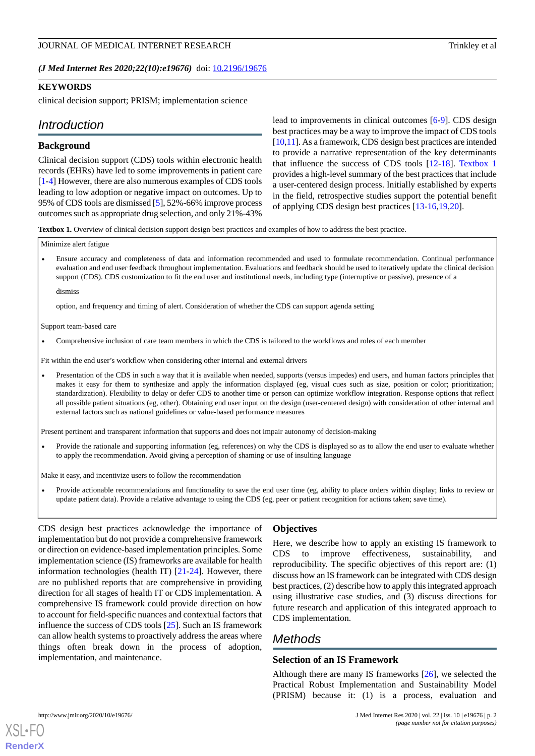*(J Med Internet Res 2020;22(10):e19676)* doi: **[10.2196/19676](http://dx.doi.org/10.2196/19676)** 

# **KEYWORDS**

clinical decision support; PRISM; implementation science

# *Introduction*

#### **Background**

Clinical decision support (CDS) tools within electronic health records (EHRs) have led to some improvements in patient care [[1](#page-11-0)[-4](#page-11-1)] However, there are also numerous examples of CDS tools leading to low adoption or negative impact on outcomes. Up to 95% of CDS tools are dismissed [\[5](#page-11-2)], 52%-66% improve process outcomes such as appropriate drug selection, and only 21%-43%

lead to improvements in clinical outcomes [[6](#page-11-3)[-9](#page-11-4)]. CDS design best practices may be a way to improve the impact of CDS tools [[10,](#page-11-5)[11\]](#page-11-6). As a framework, CDS design best practices are intended to provide a narrative representation of the key determinants that influence the success of CDS tools [[12-](#page-11-7)[18](#page-12-0)]. [Textbox 1](#page-1-0) provides a high-level summary of the best practices that include a user-centered design process. Initially established by experts in the field, retrospective studies support the potential benefit of applying CDS design best practices [\[13](#page-11-8)-[16](#page-12-1)[,19](#page-12-2),[20\]](#page-12-3).

<span id="page-1-0"></span>**Textbox 1.** Overview of clinical decision support design best practices and examples of how to address the best practice.

#### Minimize alert fatigue

• Ensure accuracy and completeness of data and information recommended and used to formulate recommendation. Continual performance evaluation and end user feedback throughout implementation. Evaluations and feedback should be used to iteratively update the clinical decision support (CDS). CDS customization to fit the end user and institutional needs, including type (interruptive or passive), presence of a

dismiss

option, and frequency and timing of alert. Consideration of whether the CDS can support agenda setting

Support team-based care

• Comprehensive inclusion of care team members in which the CDS is tailored to the workflows and roles of each member

Fit within the end user's workflow when considering other internal and external drivers

• Presentation of the CDS in such a way that it is available when needed, supports (versus impedes) end users, and human factors principles that makes it easy for them to synthesize and apply the information displayed (eg, visual cues such as size, position or color; prioritization; standardization). Flexibility to delay or defer CDS to another time or person can optimize workflow integration. Response options that reflect all possible patient situations (eg, other). Obtaining end user input on the design (user-centered design) with consideration of other internal and external factors such as national guidelines or value-based performance measures

Present pertinent and transparent information that supports and does not impair autonomy of decision-making

• Provide the rationale and supporting information (eg, references) on why the CDS is displayed so as to allow the end user to evaluate whether to apply the recommendation. Avoid giving a perception of shaming or use of insulting language

Make it easy, and incentivize users to follow the recommendation

• Provide actionable recommendations and functionality to save the end user time (eg, ability to place orders within display; links to review or update patient data). Provide a relative advantage to using the CDS (eg, peer or patient recognition for actions taken; save time).

CDS design best practices acknowledge the importance of implementation but do not provide a comprehensive framework or direction on evidence-based implementation principles. Some implementation science (IS) frameworks are available for health information technologies (health IT) [[21-](#page-12-4)[24\]](#page-12-5). However, there are no published reports that are comprehensive in providing direction for all stages of health IT or CDS implementation. A comprehensive IS framework could provide direction on how to account for field-specific nuances and contextual factors that influence the success of CDS tools [\[25](#page-12-6)]. Such an IS framework can allow health systems to proactively address the areas where things often break down in the process of adoption, implementation, and maintenance.

#### **Objectives**

Here, we describe how to apply an existing IS framework to CDS to improve effectiveness, sustainability, and reproducibility. The specific objectives of this report are: (1) discuss how an IS framework can be integrated with CDS design best practices, (2) describe how to apply this integrated approach using illustrative case studies, and (3) discuss directions for future research and application of this integrated approach to CDS implementation.

# *Methods*

#### **Selection of an IS Framework**

Although there are many IS frameworks [\[26](#page-12-7)], we selected the Practical Robust Implementation and Sustainability Model (PRISM) because it: (1) is a process, evaluation and

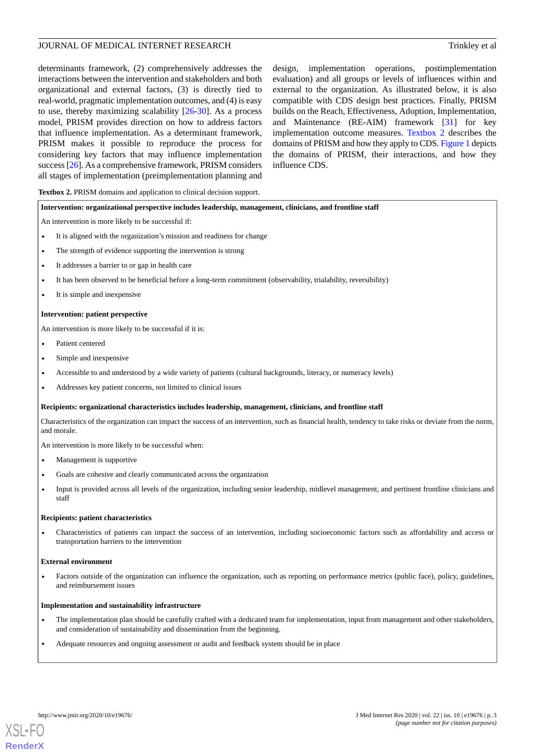determinants framework, (2) comprehensively addresses the interactions between the intervention and stakeholders and both organizational and external factors, (3) is directly tied to real-world, pragmatic implementation outcomes, and (4) is easy to use, thereby maximizing scalability [\[26](#page-12-7)-[30\]](#page-12-8). As a process model, PRISM provides direction on how to address factors that influence implementation. As a determinant framework, PRISM makes it possible to reproduce the process for considering key factors that may influence implementation success [\[26](#page-12-7)]. As a comprehensive framework, PRISM considers all stages of implementation (preimplementation planning and

design, implementation operations, postimplementation evaluation) and all groups or levels of influences within and external to the organization. As illustrated below, it is also compatible with CDS design best practices. Finally, PRISM builds on the Reach, Effectiveness, Adoption, Implementation, and Maintenance (RE-AIM) framework [\[31](#page-12-9)] for key implementation outcome measures. [Textbox 2](#page-2-0) describes the domains of PRISM and how they apply to CDS. [Figure 1](#page-3-0) depicts the domains of PRISM, their interactions, and how they influence CDS.

<span id="page-2-0"></span>**Textbox 2.** PRISM domains and application to clinical decision support.

#### **Intervention: organizational perspective includes leadership, management, clinicians, and frontline staff**

An intervention is more likely to be successful if:

- It is aligned with the organization's mission and readiness for change
- The strength of evidence supporting the intervention is strong
- It addresses a barrier to or gap in health care
- It has been observed to be beneficial before a long-term commitment (observability, trialability, reversibility)
- It is simple and inexpensive

#### **Intervention: patient perspective**

An intervention is more likely to be successful if it is:

- Patient centered
- Simple and inexpensive
- Accessible to and understood by a wide variety of patients (cultural backgrounds, literacy, or numeracy levels)
- Addresses key patient concerns, not limited to clinical issues

#### **Recipients: organizational characteristics includes leadership, management, clinicians, and frontline staff**

Characteristics of the organization can impact the success of an intervention, such as financial health, tendency to take risks or deviate from the norm, and morale.

An intervention is more likely to be successful when:

- Management is supportive
- Goals are cohesive and clearly communicated across the organization
- Input is provided across all levels of the organization, including senior leadership, midlevel management, and pertinent frontline clinicians and staff

#### **Recipients: patient characteristics**

• Characteristics of patients can impact the success of an intervention, including socioeconomic factors such as affordability and access or transportation barriers to the intervention

#### **External environment**

• Factors outside of the organization can influence the organization, such as reporting on performance metrics (public face), policy, guidelines, and reimbursement issues

#### **Implementation and sustainability infrastructure**

- The implementation plan should be carefully crafted with a dedicated team for implementation, input from management and other stakeholders, and consideration of sustainability and dissemination from the beginning.
- Adequate resources and ongoing assessment or audit and feedback system should be in place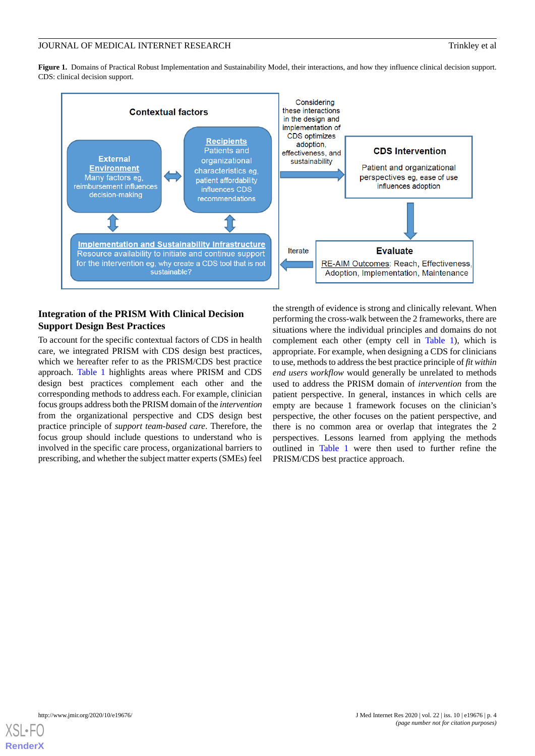# JOURNAL OF MEDICAL INTERNET RESEARCH Trinkley et al.

<span id="page-3-0"></span>**Figure 1.** Domains of Practical Robust Implementation and Sustainability Model, their interactions, and how they influence clinical decision support. CDS: clinical decision support.



# **Integration of the PRISM With Clinical Decision Support Design Best Practices**

To account for the specific contextual factors of CDS in health care, we integrated PRISM with CDS design best practices, which we hereafter refer to as the PRISM/CDS best practice approach. [Table 1](#page-4-0) highlights areas where PRISM and CDS design best practices complement each other and the corresponding methods to address each. For example, clinician focus groups address both the PRISM domain of the *intervention* from the organizational perspective and CDS design best practice principle of *support team-based care*. Therefore, the focus group should include questions to understand who is involved in the specific care process, organizational barriers to prescribing, and whether the subject matter experts (SMEs) feel

the strength of evidence is strong and clinically relevant. When performing the cross-walk between the 2 frameworks, there are situations where the individual principles and domains do not complement each other (empty cell in [Table 1\)](#page-4-0), which is appropriate. For example, when designing a CDS for clinicians to use, methods to address the best practice principle of *fit within end users workflow* would generally be unrelated to methods used to address the PRISM domain of *intervention* from the patient perspective. In general, instances in which cells are empty are because 1 framework focuses on the clinician's perspective, the other focuses on the patient perspective, and there is no common area or overlap that integrates the 2 perspectives. Lessons learned from applying the methods outlined in [Table 1](#page-4-0) were then used to further refine the PRISM/CDS best practice approach.

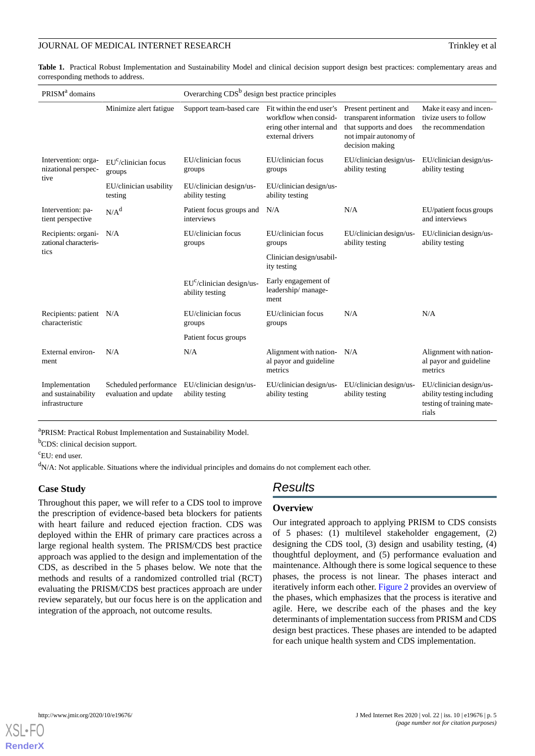<span id="page-4-0"></span>**Table 1.** Practical Robust Implementation and Sustainability Model and clinical decision support design best practices: complementary areas and corresponding methods to address.

| PRISM <sup>a</sup> domains                             |                                                | Overarching $CDSb$ design best practice principles |                                                                       |                                                                                                                         |                                                                                            |  |
|--------------------------------------------------------|------------------------------------------------|----------------------------------------------------|-----------------------------------------------------------------------|-------------------------------------------------------------------------------------------------------------------------|--------------------------------------------------------------------------------------------|--|
|                                                        | Minimize alert fatigue                         | Support team-based care Fit within the end user's  | workflow when consid-<br>ering other internal and<br>external drivers | Present pertinent and<br>transparent information<br>that supports and does<br>not impair autonomy of<br>decision making | Make it easy and incen-<br>tivize users to follow<br>the recommendation                    |  |
| Intervention: orga-<br>nizational perspec-<br>tive     | EU <sup>c</sup> /clinician focus<br>groups     | EU/clinician focus<br>groups                       | EU/clinician focus<br>groups                                          | EU/clinician design/us-<br>ability testing                                                                              | EU/clinician design/us-<br>ability testing                                                 |  |
|                                                        | EU/clinician usability<br>testing              | EU/clinician design/us-<br>ability testing         | EU/clinician design/us-<br>ability testing                            |                                                                                                                         |                                                                                            |  |
| Intervention: pa-<br>tient perspective                 | N/A <sup>d</sup>                               | Patient focus groups and<br>interviews             | N/A                                                                   | N/A                                                                                                                     | EU/patient focus groups<br>and interviews                                                  |  |
| Recipients: organi-<br>zational characteris-<br>tics   | N/A                                            | EU/clinician focus<br>groups                       | EU/clinician focus<br>groups                                          | EU/clinician design/us-<br>ability testing                                                                              | EU/clinician design/us-<br>ability testing                                                 |  |
|                                                        |                                                |                                                    | Clinician design/usabil-<br>ity testing                               |                                                                                                                         |                                                                                            |  |
|                                                        |                                                | $EUc/clinician design/us-$<br>ability testing      | Early engagement of<br>leadership/manage-<br>ment                     |                                                                                                                         |                                                                                            |  |
| Recipients: patient N/A<br>characteristic              |                                                | EU/clinician focus<br>groups                       | EU/clinician focus<br>groups                                          | N/A                                                                                                                     | N/A                                                                                        |  |
|                                                        |                                                | Patient focus groups                               |                                                                       |                                                                                                                         |                                                                                            |  |
| External environ-<br>ment                              | N/A                                            | N/A                                                | Alignment with nation-<br>al payor and guideline<br>metrics           | N/A                                                                                                                     | Alignment with nation-<br>al payor and guideline<br>metrics                                |  |
| Implementation<br>and sustainability<br>infrastructure | Scheduled performance<br>evaluation and update | EU/clinician design/us-<br>ability testing         | EU/clinician design/us-<br>ability testing                            | EU/clinician design/us-<br>ability testing                                                                              | EU/clinician design/us-<br>ability testing including<br>testing of training mate-<br>rials |  |

<sup>a</sup>PRISM: Practical Robust Implementation and Sustainability Model.

<sup>b</sup>CDS: clinical decision support.

<sup>c</sup>EU: end user.

 $d_{N/A}$ : Not applicable. Situations where the individual principles and domains do not complement each other.

## **Case Study**

Throughout this paper, we will refer to a CDS tool to improve the prescription of evidence-based beta blockers for patients with heart failure and reduced ejection fraction. CDS was deployed within the EHR of primary care practices across a large regional health system. The PRISM/CDS best practice approach was applied to the design and implementation of the CDS, as described in the 5 phases below. We note that the methods and results of a randomized controlled trial (RCT) evaluating the PRISM/CDS best practices approach are under review separately, but our focus here is on the application and integration of the approach, not outcome results.

# *Results*

#### **Overview**

Our integrated approach to applying PRISM to CDS consists of 5 phases: (1) multilevel stakeholder engagement, (2) designing the CDS tool, (3) design and usability testing, (4) thoughtful deployment, and (5) performance evaluation and maintenance. Although there is some logical sequence to these phases, the process is not linear. The phases interact and iteratively inform each other. [Figure 2](#page-5-0) provides an overview of the phases, which emphasizes that the process is iterative and agile. Here, we describe each of the phases and the key determinants of implementation success from PRISM and CDS design best practices. These phases are intended to be adapted for each unique health system and CDS implementation.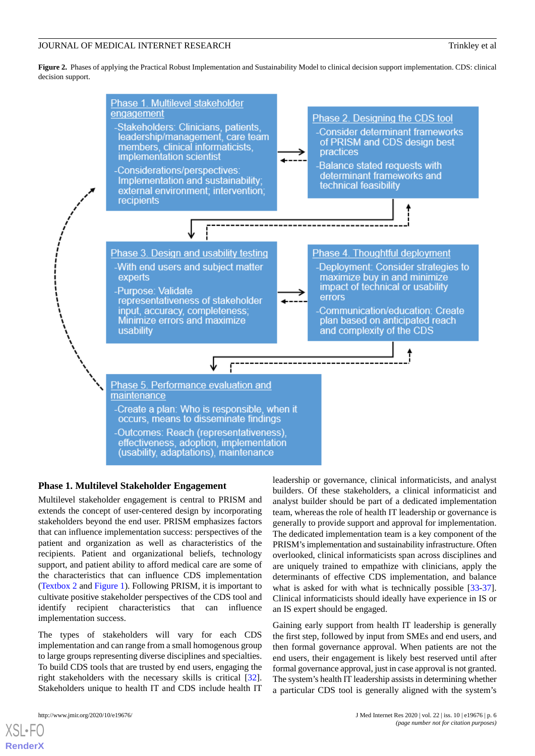<span id="page-5-0"></span>**Figure 2.** Phases of applying the Practical Robust Implementation and Sustainability Model to clinical decision support implementation. CDS: clinical decision support.



## **Phase 1. Multilevel Stakeholder Engagement**

Multilevel stakeholder engagement is central to PRISM and extends the concept of user-centered design by incorporating stakeholders beyond the end user. PRISM emphasizes factors that can influence implementation success: perspectives of the patient and organization as well as characteristics of the recipients. Patient and organizational beliefs, technology support, and patient ability to afford medical care are some of the characteristics that can influence CDS implementation ([Textbox 2](#page-2-0) and [Figure 1\)](#page-3-0). Following PRISM, it is important to cultivate positive stakeholder perspectives of the CDS tool and identify recipient characteristics that can influence implementation success.

The types of stakeholders will vary for each CDS implementation and can range from a small homogenous group to large groups representing diverse disciplines and specialties. To build CDS tools that are trusted by end users, engaging the right stakeholders with the necessary skills is critical [[32\]](#page-12-10). Stakeholders unique to health IT and CDS include health IT

[XSL](http://www.w3.org/Style/XSL)•FO **[RenderX](http://www.renderx.com/)**

leadership or governance, clinical informaticists, and analyst builders. Of these stakeholders, a clinical informaticist and analyst builder should be part of a dedicated implementation team, whereas the role of health IT leadership or governance is generally to provide support and approval for implementation. The dedicated implementation team is a key component of the PRISM's implementation and sustainability infrastructure. Often overlooked, clinical informaticists span across disciplines and are uniquely trained to empathize with clinicians, apply the determinants of effective CDS implementation, and balance what is asked for with what is technically possible [[33-](#page-12-11)[37\]](#page-13-0). Clinical informaticists should ideally have experience in IS or an IS expert should be engaged.

Gaining early support from health IT leadership is generally the first step, followed by input from SMEs and end users, and then formal governance approval. When patients are not the end users, their engagement is likely best reserved until after formal governance approval, just in case approval is not granted. The system's health IT leadership assists in determining whether a particular CDS tool is generally aligned with the system's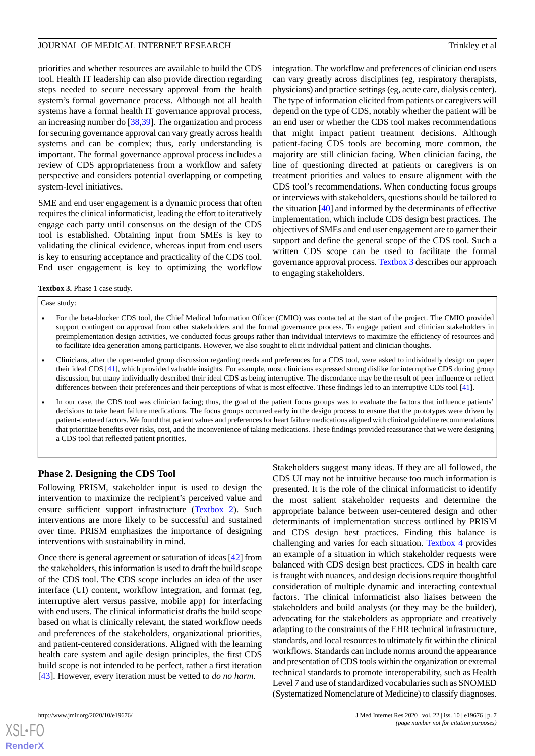integration. The workflow and preferences of clinician end users can vary greatly across disciplines (eg, respiratory therapists, physicians) and practice settings (eg, acute care, dialysis center). The type of information elicited from patients or caregivers will depend on the type of CDS, notably whether the patient will be an end user or whether the CDS tool makes recommendations that might impact patient treatment decisions. Although patient-facing CDS tools are becoming more common, the majority are still clinician facing. When clinician facing, the line of questioning directed at patients or caregivers is on treatment priorities and values to ensure alignment with the CDS tool's recommendations. When conducting focus groups or interviews with stakeholders, questions should be tailored to the situation [[40\]](#page-13-3) and informed by the determinants of effective implementation, which include CDS design best practices. The objectives of SMEs and end user engagement are to garner their support and define the general scope of the CDS tool. Such a written CDS scope can be used to facilitate the formal governance approval process. [Textbox 3](#page-6-0) describes our approach

Stakeholders suggest many ideas. If they are all followed, the CDS UI may not be intuitive because too much information is presented. It is the role of the clinical informaticist to identify the most salient stakeholder requests and determine the appropriate balance between user-centered design and other determinants of implementation success outlined by PRISM and CDS design best practices. Finding this balance is challenging and varies for each situation. [Textbox 4](#page-7-0) provides an example of a situation in which stakeholder requests were balanced with CDS design best practices. CDS in health care is fraught with nuances, and design decisions require thoughtful consideration of multiple dynamic and interacting contextual factors. The clinical informaticist also liaises between the

priorities and whether resources are available to build the CDS tool. Health IT leadership can also provide direction regarding steps needed to secure necessary approval from the health system's formal governance process. Although not all health systems have a formal health IT governance approval process, an increasing number do [\[38](#page-13-1),[39\]](#page-13-2). The organization and process for securing governance approval can vary greatly across health systems and can be complex; thus, early understanding is important. The formal governance approval process includes a review of CDS appropriateness from a workflow and safety perspective and considers potential overlapping or competing system-level initiatives.

SME and end user engagement is a dynamic process that often requires the clinical informaticist, leading the effort to iteratively engage each party until consensus on the design of the CDS tool is established. Obtaining input from SMEs is key to validating the clinical evidence, whereas input from end users is key to ensuring acceptance and practicality of the CDS tool. End user engagement is key to optimizing the workflow

<span id="page-6-0"></span>**Textbox 3.** Phase 1 case study.

#### Case study:

• For the beta-blocker CDS tool, the Chief Medical Information Officer (CMIO) was contacted at the start of the project. The CMIO provided support contingent on approval from other stakeholders and the formal governance process. To engage patient and clinician stakeholders in preimplementation design activities, we conducted focus groups rather than individual interviews to maximize the efficiency of resources and to facilitate idea generation among participants. However, we also sought to elicit individual patient and clinician thoughts.

to engaging stakeholders.

- Clinicians, after the open-ended group discussion regarding needs and preferences for a CDS tool, were asked to individually design on paper their ideal CDS [[41](#page-13-4)], which provided valuable insights. For example, most clinicians expressed strong dislike for interruptive CDS during group discussion, but many individually described their ideal CDS as being interruptive. The discordance may be the result of peer influence or reflect differences between their preferences and their perceptions of what is most effective. These findings led to an interruptive CDS tool [[41](#page-13-4)].
- In our case, the CDS tool was clinician facing; thus, the goal of the patient focus groups was to evaluate the factors that influence patients' decisions to take heart failure medications. The focus groups occurred early in the design process to ensure that the prototypes were driven by patient-centered factors. We found that patient values and preferences for heart failure medications aligned with clinical guideline recommendations that prioritize benefits over risks, cost, and the inconvenience of taking medications. These findings provided reassurance that we were designing a CDS tool that reflected patient priorities.

#### **Phase 2. Designing the CDS Tool**

Following PRISM, stakeholder input is used to design the intervention to maximize the recipient's perceived value and ensure sufficient support infrastructure ([Textbox 2\)](#page-2-0). Such interventions are more likely to be successful and sustained over time. PRISM emphasizes the importance of designing interventions with sustainability in mind.

Once there is general agreement or saturation of ideas [\[42](#page-13-5)] from the stakeholders, this information is used to draft the build scope of the CDS tool. The CDS scope includes an idea of the user interface (UI) content, workflow integration, and format (eg, interruptive alert versus passive, mobile app) for interfacing with end users. The clinical informaticist drafts the build scope based on what is clinically relevant, the stated workflow needs and preferences of the stakeholders, organizational priorities, and patient-centered considerations. Aligned with the learning health care system and agile design principles, the first CDS build scope is not intended to be perfect, rather a first iteration [[43\]](#page-13-6). However, every iteration must be vetted to *do no harm*.

stakeholders and build analysts (or they may be the builder), advocating for the stakeholders as appropriate and creatively adapting to the constraints of the EHR technical infrastructure, standards, and local resources to ultimately fit within the clinical workflows. Standards can include norms around the appearance and presentation of CDS tools within the organization or external technical standards to promote interoperability, such as Health Level 7 and use of standardized vocabularies such as SNOMED (Systematized Nomenclature of Medicine) to classify diagnoses. http://www.jmir.org/2020/10/e19676/ J Med Internet Res 2020 | vol. 22 | iss. 10 | e19676 | p. 7

 $XS$ -FO **[RenderX](http://www.renderx.com/)**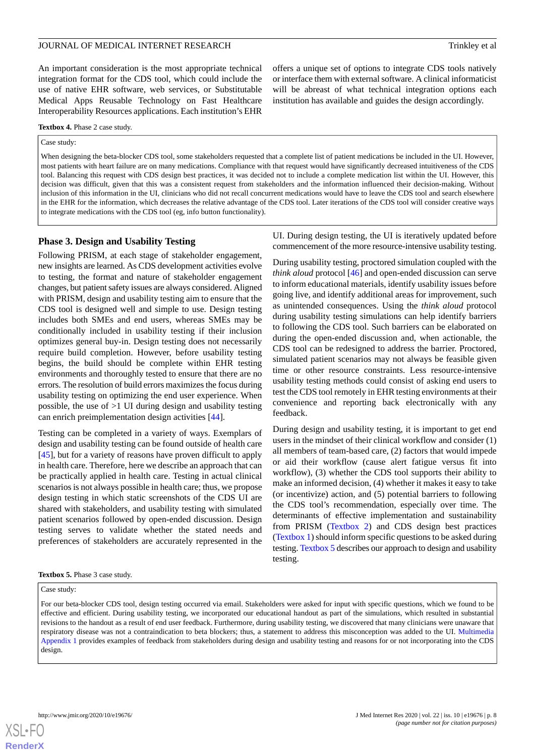An important consideration is the most appropriate technical integration format for the CDS tool, which could include the use of native EHR software, web services, or Substitutable Medical Apps Reusable Technology on Fast Healthcare Interoperability Resources applications. Each institution's EHR

offers a unique set of options to integrate CDS tools natively or interface them with external software. A clinical informaticist will be abreast of what technical integration options each institution has available and guides the design accordingly.

#### <span id="page-7-0"></span>**Textbox 4.** Phase 2 case study.

#### Case study:

When designing the beta-blocker CDS tool, some stakeholders requested that a complete list of patient medications be included in the UI. However, most patients with heart failure are on many medications. Compliance with that request would have significantly decreased intuitiveness of the CDS tool. Balancing this request with CDS design best practices, it was decided not to include a complete medication list within the UI. However, this decision was difficult, given that this was a consistent request from stakeholders and the information influenced their decision-making. Without inclusion of this information in the UI, clinicians who did not recall concurrent medications would have to leave the CDS tool and search elsewhere in the EHR for the information, which decreases the relative advantage of the CDS tool. Later iterations of the CDS tool will consider creative ways to integrate medications with the CDS tool (eg, info button functionality).

#### **Phase 3. Design and Usability Testing**

Following PRISM, at each stage of stakeholder engagement, new insights are learned. As CDS development activities evolve to testing, the format and nature of stakeholder engagement changes, but patient safety issues are always considered. Aligned with PRISM, design and usability testing aim to ensure that the CDS tool is designed well and simple to use. Design testing includes both SMEs and end users, whereas SMEs may be conditionally included in usability testing if their inclusion optimizes general buy-in. Design testing does not necessarily require build completion. However, before usability testing begins, the build should be complete within EHR testing environments and thoroughly tested to ensure that there are no errors. The resolution of build errors maximizes the focus during usability testing on optimizing the end user experience. When possible, the use of  $>1$  UI during design and usability testing can enrich preimplementation design activities [[44\]](#page-13-7).

Testing can be completed in a variety of ways. Exemplars of design and usability testing can be found outside of health care [[45\]](#page-13-8), but for a variety of reasons have proven difficult to apply in health care. Therefore, here we describe an approach that can be practically applied in health care. Testing in actual clinical scenarios is not always possible in health care; thus, we propose design testing in which static screenshots of the CDS UI are shared with stakeholders, and usability testing with simulated patient scenarios followed by open-ended discussion. Design testing serves to validate whether the stated needs and preferences of stakeholders are accurately represented in the

UI. During design testing, the UI is iteratively updated before commencement of the more resource-intensive usability testing.

During usability testing, proctored simulation coupled with the *think aloud* protocol [\[46](#page-13-9)] and open-ended discussion can serve to inform educational materials, identify usability issues before going live, and identify additional areas for improvement, such as unintended consequences. Using the *think aloud* protocol during usability testing simulations can help identify barriers to following the CDS tool. Such barriers can be elaborated on during the open-ended discussion and, when actionable, the CDS tool can be redesigned to address the barrier. Proctored, simulated patient scenarios may not always be feasible given time or other resource constraints. Less resource-intensive usability testing methods could consist of asking end users to test the CDS tool remotely in EHR testing environments at their convenience and reporting back electronically with any feedback.

During design and usability testing, it is important to get end users in the mindset of their clinical workflow and consider (1) all members of team-based care, (2) factors that would impede or aid their workflow (cause alert fatigue versus fit into workflow), (3) whether the CDS tool supports their ability to make an informed decision, (4) whether it makes it easy to take (or incentivize) action, and (5) potential barriers to following the CDS tool's recommendation, especially over time. The determinants of effective implementation and sustainability from PRISM [\(Textbox 2](#page-2-0)) and CDS design best practices ([Textbox 1](#page-1-0)) should inform specific questions to be asked during testing. [Textbox 5](#page-7-1) describes our approach to design and usability testing.

#### <span id="page-7-1"></span>**Textbox 5.** Phase 3 case study.

#### Case study:

For our beta-blocker CDS tool, design testing occurred via email. Stakeholders were asked for input with specific questions, which we found to be effective and efficient. During usability testing, we incorporated our educational handout as part of the simulations, which resulted in substantial revisions to the handout as a result of end user feedback. Furthermore, during usability testing, we discovered that many clinicians were unaware that respiratory disease was not a contraindication to beta blockers; thus, a statement to address this misconception was added to the UI. [Multimedia](#page-11-9) [Appendix 1](#page-11-9) provides examples of feedback from stakeholders during design and usability testing and reasons for or not incorporating into the CDS design.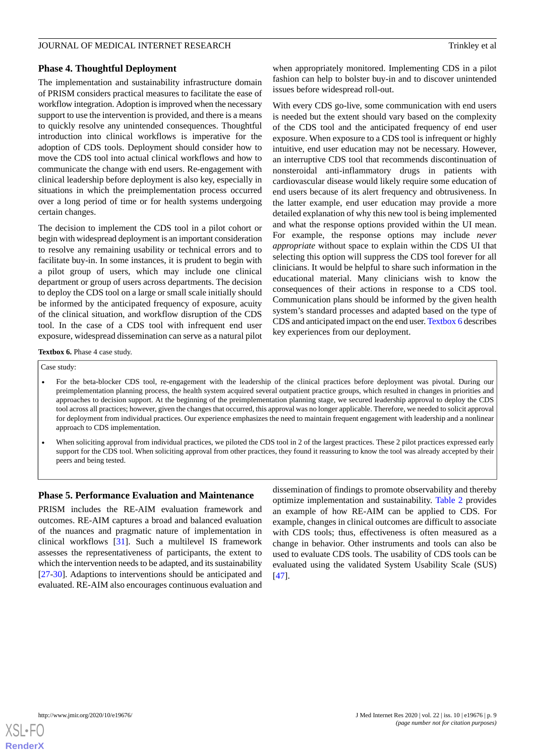#### **Phase 4. Thoughtful Deployment**

The implementation and sustainability infrastructure domain of PRISM considers practical measures to facilitate the ease of workflow integration. Adoption is improved when the necessary support to use the intervention is provided, and there is a means to quickly resolve any unintended consequences. Thoughtful introduction into clinical workflows is imperative for the adoption of CDS tools. Deployment should consider how to move the CDS tool into actual clinical workflows and how to communicate the change with end users. Re-engagement with clinical leadership before deployment is also key, especially in situations in which the preimplementation process occurred over a long period of time or for health systems undergoing certain changes.

The decision to implement the CDS tool in a pilot cohort or begin with widespread deployment is an important consideration to resolve any remaining usability or technical errors and to facilitate buy-in. In some instances, it is prudent to begin with a pilot group of users, which may include one clinical department or group of users across departments. The decision to deploy the CDS tool on a large or small scale initially should be informed by the anticipated frequency of exposure, acuity of the clinical situation, and workflow disruption of the CDS tool. In the case of a CDS tool with infrequent end user exposure, widespread dissemination can serve as a natural pilot

when appropriately monitored. Implementing CDS in a pilot fashion can help to bolster buy-in and to discover unintended issues before widespread roll-out.

With every CDS go-live, some communication with end users is needed but the extent should vary based on the complexity of the CDS tool and the anticipated frequency of end user exposure. When exposure to a CDS tool is infrequent or highly intuitive, end user education may not be necessary. However, an interruptive CDS tool that recommends discontinuation of nonsteroidal anti-inflammatory drugs in patients with cardiovascular disease would likely require some education of end users because of its alert frequency and obtrusiveness. In the latter example, end user education may provide a more detailed explanation of why this new tool is being implemented and what the response options provided within the UI mean. For example, the response options may include *never appropriate* without space to explain within the CDS UI that selecting this option will suppress the CDS tool forever for all clinicians. It would be helpful to share such information in the educational material. Many clinicians wish to know the consequences of their actions in response to a CDS tool. Communication plans should be informed by the given health system's standard processes and adapted based on the type of CDS and anticipated impact on the end user. [Textbox 6](#page-8-0) describes key experiences from our deployment.

<span id="page-8-0"></span>Textbox 6. Phase 4 case study.

#### Case study:

- For the beta-blocker CDS tool, re-engagement with the leadership of the clinical practices before deployment was pivotal. During our preimplementation planning process, the health system acquired several outpatient practice groups, which resulted in changes in priorities and approaches to decision support. At the beginning of the preimplementation planning stage, we secured leadership approval to deploy the CDS tool across all practices; however, given the changes that occurred, this approval was no longer applicable. Therefore, we needed to solicit approval for deployment from individual practices. Our experience emphasizes the need to maintain frequent engagement with leadership and a nonlinear approach to CDS implementation.
- When soliciting approval from individual practices, we piloted the CDS tool in 2 of the largest practices. These 2 pilot practices expressed early support for the CDS tool. When soliciting approval from other practices, they found it reassuring to know the tool was already accepted by their peers and being tested.

#### **Phase 5. Performance Evaluation and Maintenance**

PRISM includes the RE-AIM evaluation framework and outcomes. RE-AIM captures a broad and balanced evaluation of the nuances and pragmatic nature of implementation in clinical workflows [\[31](#page-12-9)]. Such a multilevel IS framework assesses the representativeness of participants, the extent to which the intervention needs to be adapted, and its sustainability [[27](#page-12-12)[-30](#page-12-8)]. Adaptions to interventions should be anticipated and evaluated. RE-AIM also encourages continuous evaluation and

dissemination of findings to promote observability and thereby optimize implementation and sustainability. [Table 2](#page-9-0) provides an example of how RE-AIM can be applied to CDS. For example, changes in clinical outcomes are difficult to associate with CDS tools; thus, effectiveness is often measured as a change in behavior. Other instruments and tools can also be used to evaluate CDS tools. The usability of CDS tools can be evaluated using the validated System Usability Scale (SUS) [[47\]](#page-13-10).

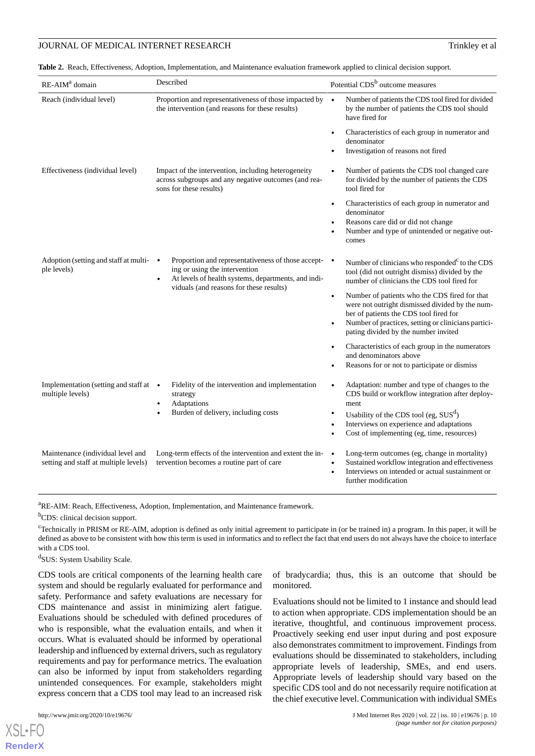## JOURNAL OF MEDICAL INTERNET RESEARCH TRINKLEY AND TRINKLEY AT TRINKLEY AT A TRINKLEY AT A TRINKLEY OF MEDICAL INTERNET RESEARCH

<span id="page-9-0"></span>**Table 2.** Reach, Effectiveness, Adoption, Implementation, and Maintenance evaluation framework applied to clinical decision support.

| Reach (individual level)<br>Proportion and representativeness of those impacted by $\bullet$<br>by the number of patients the CDS tool should<br>the intervention (and reasons for these results)<br>have fired for<br>denominator<br>Investigation of reasons not fired<br>Effectiveness (individual level)<br>Impact of the intervention, including heterogeneity<br>across subgroups and any negative outcomes (and rea-<br>for divided by the number of patients the CDS<br>sons for these results)<br>tool fired for<br>$\bullet$<br>denominator<br>Reasons care did or did not change<br>$\bullet$<br>comes<br>Proportion and representativeness of those accept- •<br>Adoption (setting and staff at multi-<br>$\bullet$<br>ing or using the intervention<br>ple levels)<br>tool (did not outright dismiss) divided by the<br>At levels of health systems, departments, and indi-<br>$\bullet$<br>number of clinicians the CDS tool fired for<br>viduals (and reasons for these results)<br>$\bullet$<br>ber of patients the CDS tool fired for<br>pating divided by the number invited<br>and denominators above<br>Reasons for or not to participate or dismiss<br>Implementation (setting and staff at •<br>Fidelity of the intervention and implementation<br>$\bullet$<br>multiple levels)<br>strategy<br>Adaptations<br>ment<br>$\bullet$<br>Burden of delivery, including costs<br>Usability of the CDS tool (eg, $SUSd$ )<br>٠<br>Interviews on experience and adaptations<br>$\bullet$<br>Cost of implementing (eg, time, resources)<br>Maintenance (individual level and<br>Long-term outcomes (eg, change in mortality)<br>Long-term effects of the intervention and extent the in-<br>$\bullet$<br>setting and staff at multiple levels)<br>tervention becomes a routine part of care<br>$\bullet$<br>further modification | RE-AIM <sup>a</sup> domain | Described | Potential CDS <sup>b</sup> outcome measures                                                                                                             |
|-----------------------------------------------------------------------------------------------------------------------------------------------------------------------------------------------------------------------------------------------------------------------------------------------------------------------------------------------------------------------------------------------------------------------------------------------------------------------------------------------------------------------------------------------------------------------------------------------------------------------------------------------------------------------------------------------------------------------------------------------------------------------------------------------------------------------------------------------------------------------------------------------------------------------------------------------------------------------------------------------------------------------------------------------------------------------------------------------------------------------------------------------------------------------------------------------------------------------------------------------------------------------------------------------------------------------------------------------------------------------------------------------------------------------------------------------------------------------------------------------------------------------------------------------------------------------------------------------------------------------------------------------------------------------------------------------------------------------------------------------------------------------------------------------------------------------------------------------|----------------------------|-----------|---------------------------------------------------------------------------------------------------------------------------------------------------------|
|                                                                                                                                                                                                                                                                                                                                                                                                                                                                                                                                                                                                                                                                                                                                                                                                                                                                                                                                                                                                                                                                                                                                                                                                                                                                                                                                                                                                                                                                                                                                                                                                                                                                                                                                                                                                                                               |                            |           | Number of patients the CDS tool fired for divided                                                                                                       |
|                                                                                                                                                                                                                                                                                                                                                                                                                                                                                                                                                                                                                                                                                                                                                                                                                                                                                                                                                                                                                                                                                                                                                                                                                                                                                                                                                                                                                                                                                                                                                                                                                                                                                                                                                                                                                                               |                            |           | Characteristics of each group in numerator and                                                                                                          |
|                                                                                                                                                                                                                                                                                                                                                                                                                                                                                                                                                                                                                                                                                                                                                                                                                                                                                                                                                                                                                                                                                                                                                                                                                                                                                                                                                                                                                                                                                                                                                                                                                                                                                                                                                                                                                                               |                            |           | Number of patients the CDS tool changed care                                                                                                            |
|                                                                                                                                                                                                                                                                                                                                                                                                                                                                                                                                                                                                                                                                                                                                                                                                                                                                                                                                                                                                                                                                                                                                                                                                                                                                                                                                                                                                                                                                                                                                                                                                                                                                                                                                                                                                                                               |                            |           | Characteristics of each group in numerator and<br>Number and type of unintended or negative out-                                                        |
|                                                                                                                                                                                                                                                                                                                                                                                                                                                                                                                                                                                                                                                                                                                                                                                                                                                                                                                                                                                                                                                                                                                                                                                                                                                                                                                                                                                                                                                                                                                                                                                                                                                                                                                                                                                                                                               |                            |           | Number of clinicians who responded <sup>c</sup> to the CDS                                                                                              |
|                                                                                                                                                                                                                                                                                                                                                                                                                                                                                                                                                                                                                                                                                                                                                                                                                                                                                                                                                                                                                                                                                                                                                                                                                                                                                                                                                                                                                                                                                                                                                                                                                                                                                                                                                                                                                                               |                            |           | Number of patients who the CDS fired for that<br>were not outright dismissed divided by the num-<br>Number of practices, setting or clinicians partici- |
|                                                                                                                                                                                                                                                                                                                                                                                                                                                                                                                                                                                                                                                                                                                                                                                                                                                                                                                                                                                                                                                                                                                                                                                                                                                                                                                                                                                                                                                                                                                                                                                                                                                                                                                                                                                                                                               |                            |           | Characteristics of each group in the numerators                                                                                                         |
|                                                                                                                                                                                                                                                                                                                                                                                                                                                                                                                                                                                                                                                                                                                                                                                                                                                                                                                                                                                                                                                                                                                                                                                                                                                                                                                                                                                                                                                                                                                                                                                                                                                                                                                                                                                                                                               |                            |           | Adaptation: number and type of changes to the<br>CDS build or workflow integration after deploy-                                                        |
|                                                                                                                                                                                                                                                                                                                                                                                                                                                                                                                                                                                                                                                                                                                                                                                                                                                                                                                                                                                                                                                                                                                                                                                                                                                                                                                                                                                                                                                                                                                                                                                                                                                                                                                                                                                                                                               |                            |           |                                                                                                                                                         |
|                                                                                                                                                                                                                                                                                                                                                                                                                                                                                                                                                                                                                                                                                                                                                                                                                                                                                                                                                                                                                                                                                                                                                                                                                                                                                                                                                                                                                                                                                                                                                                                                                                                                                                                                                                                                                                               |                            |           | Sustained workflow integration and effectiveness<br>Interviews on intended or actual sustainment or                                                     |

<sup>a</sup>RE-AIM: Reach, Effectiveness, Adoption, Implementation, and Maintenance framework.

<sup>b</sup>CDS: clinical decision support.

 $c$ Technically in PRISM or RE-AIM, adoption is defined as only initial agreement to participate in (or be trained in) a program. In this paper, it will be defined as above to be consistent with how this term is used in informatics and to reflect the fact that end users do not always have the choice to interface with a CDS tool.

d SUS: System Usability Scale.

CDS tools are critical components of the learning health care system and should be regularly evaluated for performance and safety. Performance and safety evaluations are necessary for CDS maintenance and assist in minimizing alert fatigue. Evaluations should be scheduled with defined procedures of who is responsible, what the evaluation entails, and when it occurs. What is evaluated should be informed by operational leadership and influenced by external drivers, such as regulatory requirements and pay for performance metrics. The evaluation can also be informed by input from stakeholders regarding unintended consequences. For example, stakeholders might express concern that a CDS tool may lead to an increased risk

 $XS$  • FO **[RenderX](http://www.renderx.com/)** of bradycardia; thus, this is an outcome that should be monitored.

Evaluations should not be limited to 1 instance and should lead to action when appropriate. CDS implementation should be an iterative, thoughtful, and continuous improvement process. Proactively seeking end user input during and post exposure also demonstrates commitment to improvement. Findings from evaluations should be disseminated to stakeholders, including appropriate levels of leadership, SMEs, and end users. Appropriate levels of leadership should vary based on the specific CDS tool and do not necessarily require notification at the chief executive level. Communication with individual SMEs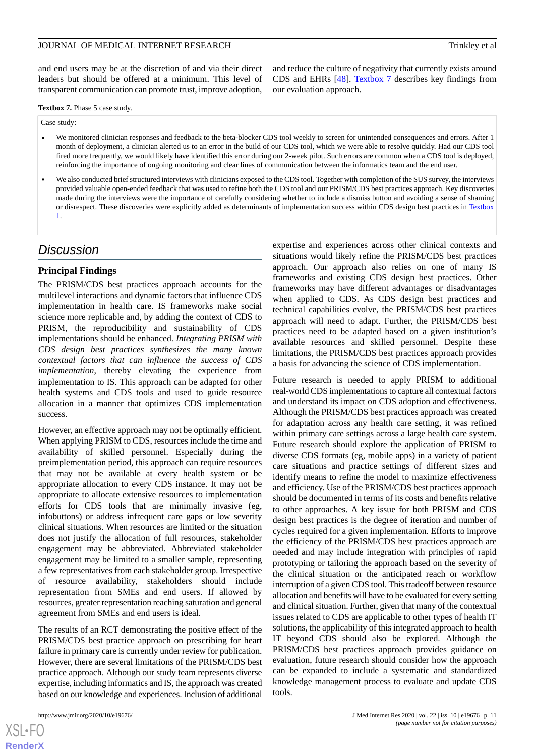and end users may be at the discretion of and via their direct leaders but should be offered at a minimum. This level of transparent communication can promote trust, improve adoption,

<span id="page-10-0"></span>**Textbox 7.** Phase 5 case study.

Case study:

- We monitored clinician responses and feedback to the beta-blocker CDS tool weekly to screen for unintended consequences and errors. After 1 month of deployment, a clinician alerted us to an error in the build of our CDS tool, which we were able to resolve quickly. Had our CDS tool fired more frequently, we would likely have identified this error during our 2-week pilot. Such errors are common when a CDS tool is deployed, reinforcing the importance of ongoing monitoring and clear lines of communication between the informatics team and the end user.
- We also conducted brief structured interviews with clinicians exposed to the CDS tool. Together with completion of the SUS survey, the interviews provided valuable open-ended feedback that was used to refine both the CDS tool and our PRISM/CDS best practices approach. Key discoveries made during the interviews were the importance of carefully considering whether to include a dismiss button and avoiding a sense of shaming or disrespect. These discoveries were explicitly added as determinants of implementation success within CDS design best practices in [Textbox](#page-1-0) [1.](#page-1-0)

# *Discussion*

#### **Principal Findings**

The PRISM/CDS best practices approach accounts for the multilevel interactions and dynamic factors that influence CDS implementation in health care. IS frameworks make social science more replicable and, by adding the context of CDS to PRISM, the reproducibility and sustainability of CDS implementations should be enhanced. *Integrating PRISM with CDS design best practices synthesizes the many known contextual factors that can influence the success of CDS implementation*, thereby elevating the experience from implementation to IS. This approach can be adapted for other health systems and CDS tools and used to guide resource allocation in a manner that optimizes CDS implementation success.

However, an effective approach may not be optimally efficient. When applying PRISM to CDS, resources include the time and availability of skilled personnel. Especially during the preimplementation period, this approach can require resources that may not be available at every health system or be appropriate allocation to every CDS instance. It may not be appropriate to allocate extensive resources to implementation efforts for CDS tools that are minimally invasive (eg, infobuttons) or address infrequent care gaps or low severity clinical situations. When resources are limited or the situation does not justify the allocation of full resources, stakeholder engagement may be abbreviated. Abbreviated stakeholder engagement may be limited to a smaller sample, representing a few representatives from each stakeholder group. Irrespective of resource availability, stakeholders should include representation from SMEs and end users. If allowed by resources, greater representation reaching saturation and general agreement from SMEs and end users is ideal.

The results of an RCT demonstrating the positive effect of the PRISM/CDS best practice approach on prescribing for heart failure in primary care is currently under review for publication. However, there are several limitations of the PRISM/CDS best practice approach. Although our study team represents diverse expertise, including informatics and IS, the approach was created based on our knowledge and experiences. Inclusion of additional

and reduce the culture of negativity that currently exists around CDS and EHRs [\[48](#page-13-11)]. [Textbox 7](#page-10-0) describes key findings from our evaluation approach.

expertise and experiences across other clinical contexts and situations would likely refine the PRISM/CDS best practices approach. Our approach also relies on one of many IS frameworks and existing CDS design best practices. Other frameworks may have different advantages or disadvantages when applied to CDS. As CDS design best practices and technical capabilities evolve, the PRISM/CDS best practices approach will need to adapt. Further, the PRISM/CDS best practices need to be adapted based on a given institution's available resources and skilled personnel. Despite these limitations, the PRISM/CDS best practices approach provides a basis for advancing the science of CDS implementation.

Future research is needed to apply PRISM to additional real-world CDS implementations to capture all contextual factors and understand its impact on CDS adoption and effectiveness. Although the PRISM/CDS best practices approach was created for adaptation across any health care setting, it was refined within primary care settings across a large health care system. Future research should explore the application of PRISM to diverse CDS formats (eg, mobile apps) in a variety of patient care situations and practice settings of different sizes and identify means to refine the model to maximize effectiveness and efficiency. Use of the PRISM/CDS best practices approach should be documented in terms of its costs and benefits relative to other approaches. A key issue for both PRISM and CDS design best practices is the degree of iteration and number of cycles required for a given implementation. Efforts to improve the efficiency of the PRISM/CDS best practices approach are needed and may include integration with principles of rapid prototyping or tailoring the approach based on the severity of the clinical situation or the anticipated reach or workflow interruption of a given CDS tool. This tradeoff between resource allocation and benefits will have to be evaluated for every setting and clinical situation. Further, given that many of the contextual issues related to CDS are applicable to other types of health IT solutions, the applicability of this integrated approach to health IT beyond CDS should also be explored. Although the PRISM/CDS best practices approach provides guidance on evaluation, future research should consider how the approach can be expanded to include a systematic and standardized knowledge management process to evaluate and update CDS tools.

 $XSI - F($ **[RenderX](http://www.renderx.com/)**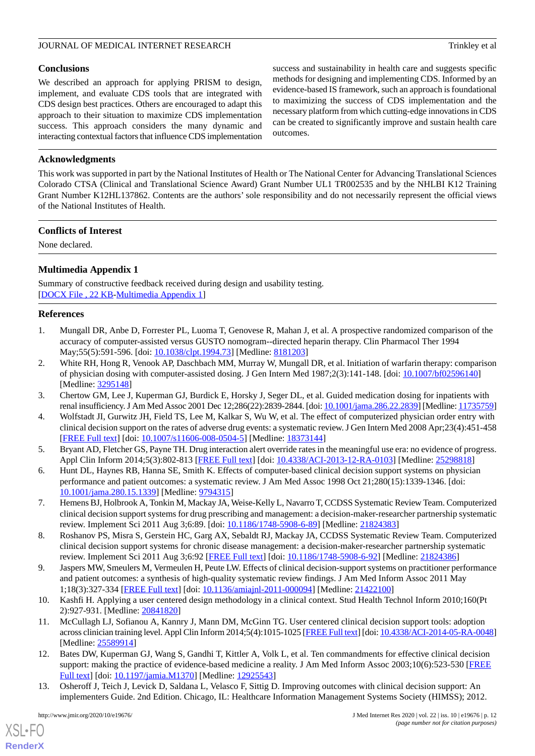## **Conclusions**

We described an approach for applying PRISM to design, implement, and evaluate CDS tools that are integrated with CDS design best practices. Others are encouraged to adapt this approach to their situation to maximize CDS implementation success. This approach considers the many dynamic and interacting contextual factors that influence CDS implementation

success and sustainability in health care and suggests specific methods for designing and implementing CDS. Informed by an evidence-based IS framework, such an approach is foundational to maximizing the success of CDS implementation and the necessary platform from which cutting-edge innovations in CDS can be created to significantly improve and sustain health care outcomes.

# **Acknowledgments**

This work was supported in part by the National Institutes of Health or The National Center for Advancing Translational Sciences Colorado CTSA (Clinical and Translational Science Award) Grant Number UL1 TR002535 and by the NHLBI K12 Training Grant Number K12HL137862. Contents are the authors' sole responsibility and do not necessarily represent the official views of the National Institutes of Health.

#### **Conflicts of Interest**

<span id="page-11-9"></span>None declared.

# **Multimedia Appendix 1**

<span id="page-11-0"></span>Summary of constructive feedback received during design and usability testing. [[DOCX File , 22 KB](https://jmir.org/api/download?alt_name=jmir_v22i10e19676_app1.docx&filename=503114fbab4a4a829d435b1dc59be60a.docx)-[Multimedia Appendix 1\]](https://jmir.org/api/download?alt_name=jmir_v22i10e19676_app1.docx&filename=503114fbab4a4a829d435b1dc59be60a.docx)

#### **References**

- 1. Mungall DR, Anbe D, Forrester PL, Luoma T, Genovese R, Mahan J, et al. A prospective randomized comparison of the accuracy of computer-assisted versus GUSTO nomogram--directed heparin therapy. Clin Pharmacol Ther 1994 May;55(5):591-596. [doi: [10.1038/clpt.1994.73](http://dx.doi.org/10.1038/clpt.1994.73)] [Medline: [8181203\]](http://www.ncbi.nlm.nih.gov/entrez/query.fcgi?cmd=Retrieve&db=PubMed&list_uids=8181203&dopt=Abstract)
- <span id="page-11-1"></span>2. White RH, Hong R, Venook AP, Daschbach MM, Murray W, Mungall DR, et al. Initiation of warfarin therapy: comparison of physician dosing with computer-assisted dosing. J Gen Intern Med 1987;2(3):141-148. [doi: [10.1007/bf02596140](http://dx.doi.org/10.1007/bf02596140)] [Medline: [3295148\]](http://www.ncbi.nlm.nih.gov/entrez/query.fcgi?cmd=Retrieve&db=PubMed&list_uids=3295148&dopt=Abstract)
- <span id="page-11-2"></span>3. Chertow GM, Lee J, Kuperman GJ, Burdick E, Horsky J, Seger DL, et al. Guided medication dosing for inpatients with renal insufficiency. J Am Med Assoc 2001 Dec 12;286(22):2839-2844. [doi: [10.1001/jama.286.22.2839](http://dx.doi.org/10.1001/jama.286.22.2839)] [Medline: [11735759\]](http://www.ncbi.nlm.nih.gov/entrez/query.fcgi?cmd=Retrieve&db=PubMed&list_uids=11735759&dopt=Abstract)
- <span id="page-11-3"></span>4. Wolfstadt JI, Gurwitz JH, Field TS, Lee M, Kalkar S, Wu W, et al. The effect of computerized physician order entry with clinical decision support on the rates of adverse drug events: a systematic review. J Gen Intern Med 2008 Apr;23(4):451-458 [[FREE Full text](http://europepmc.org/abstract/MED/18373144)] [doi: [10.1007/s11606-008-0504-5\]](http://dx.doi.org/10.1007/s11606-008-0504-5) [Medline: [18373144](http://www.ncbi.nlm.nih.gov/entrez/query.fcgi?cmd=Retrieve&db=PubMed&list_uids=18373144&dopt=Abstract)]
- 5. Bryant AD, Fletcher GS, Payne TH. Drug interaction alert override rates in the meaningful use era: no evidence of progress. Appl Clin Inform 2014;5(3):802-813 [\[FREE Full text\]](http://europepmc.org/abstract/MED/25298818) [doi: [10.4338/ACI-2013-12-RA-0103](http://dx.doi.org/10.4338/ACI-2013-12-RA-0103)] [Medline: [25298818](http://www.ncbi.nlm.nih.gov/entrez/query.fcgi?cmd=Retrieve&db=PubMed&list_uids=25298818&dopt=Abstract)]
- 6. Hunt DL, Haynes RB, Hanna SE, Smith K. Effects of computer-based clinical decision support systems on physician performance and patient outcomes: a systematic review. J Am Med Assoc 1998 Oct 21;280(15):1339-1346. [doi: [10.1001/jama.280.15.1339\]](http://dx.doi.org/10.1001/jama.280.15.1339) [Medline: [9794315](http://www.ncbi.nlm.nih.gov/entrez/query.fcgi?cmd=Retrieve&db=PubMed&list_uids=9794315&dopt=Abstract)]
- <span id="page-11-4"></span>7. Hemens BJ, Holbrook A, Tonkin M, Mackay JA, Weise-Kelly L, Navarro T, CCDSS Systematic Review Team. Computerized clinical decision support systems for drug prescribing and management: a decision-maker-researcher partnership systematic review. Implement Sci 2011 Aug 3;6:89. [doi: [10.1186/1748-5908-6-89](http://dx.doi.org/10.1186/1748-5908-6-89)] [Medline: [21824383\]](http://www.ncbi.nlm.nih.gov/entrez/query.fcgi?cmd=Retrieve&db=PubMed&list_uids=21824383&dopt=Abstract)
- <span id="page-11-5"></span>8. Roshanov PS, Misra S, Gerstein HC, Garg AX, Sebaldt RJ, Mackay JA, CCDSS Systematic Review Team. Computerized clinical decision support systems for chronic disease management: a decision-maker-researcher partnership systematic review. Implement Sci 2011 Aug 3;6:92 [\[FREE Full text\]](https://implementationscience.biomedcentral.com/articles/10.1186/1748-5908-6-92) [doi: [10.1186/1748-5908-6-92](http://dx.doi.org/10.1186/1748-5908-6-92)] [Medline: [21824386\]](http://www.ncbi.nlm.nih.gov/entrez/query.fcgi?cmd=Retrieve&db=PubMed&list_uids=21824386&dopt=Abstract)
- <span id="page-11-6"></span>9. Jaspers MW, Smeulers M, Vermeulen H, Peute LW. Effects of clinical decision-support systems on practitioner performance and patient outcomes: a synthesis of high-quality systematic review findings. J Am Med Inform Assoc 2011 May 1;18(3):327-334 [[FREE Full text](http://europepmc.org/abstract/MED/21422100)] [doi: [10.1136/amiajnl-2011-000094\]](http://dx.doi.org/10.1136/amiajnl-2011-000094) [Medline: [21422100](http://www.ncbi.nlm.nih.gov/entrez/query.fcgi?cmd=Retrieve&db=PubMed&list_uids=21422100&dopt=Abstract)]
- <span id="page-11-7"></span>10. Kashfi H. Applying a user centered design methodology in a clinical context. Stud Health Technol Inform 2010;160(Pt 2):927-931. [Medline: [20841820\]](http://www.ncbi.nlm.nih.gov/entrez/query.fcgi?cmd=Retrieve&db=PubMed&list_uids=20841820&dopt=Abstract)
- <span id="page-11-8"></span>11. McCullagh LJ, Sofianou A, Kannry J, Mann DM, McGinn TG. User centered clinical decision support tools: adoption across clinician training level. Appl Clin Inform 2014;5(4):1015-1025 [\[FREE Full text\]](http://europepmc.org/abstract/MED/25589914) [doi: [10.4338/ACI-2014-05-RA-0048](http://dx.doi.org/10.4338/ACI-2014-05-RA-0048)] [Medline: [25589914](http://www.ncbi.nlm.nih.gov/entrez/query.fcgi?cmd=Retrieve&db=PubMed&list_uids=25589914&dopt=Abstract)]
- 12. Bates DW, Kuperman GJ, Wang S, Gandhi T, Kittler A, Volk L, et al. Ten commandments for effective clinical decision support: making the practice of evidence-based medicine a reality. J Am Med Inform Assoc 2003;10(6):523-530 [\[FREE](http://europepmc.org/abstract/MED/12925543) [Full text\]](http://europepmc.org/abstract/MED/12925543) [doi: [10.1197/jamia.M1370](http://dx.doi.org/10.1197/jamia.M1370)] [Medline: [12925543\]](http://www.ncbi.nlm.nih.gov/entrez/query.fcgi?cmd=Retrieve&db=PubMed&list_uids=12925543&dopt=Abstract)
- 13. Osheroff J, Teich J, Levick D, Saldana L, Velasco F, Sittig D. Improving outcomes with clinical decision support: An implementers Guide. 2nd Edition. Chicago, IL: Healthcare Information Management Systems Society (HIMSS); 2012.

 $XS$ -FO **[RenderX](http://www.renderx.com/)**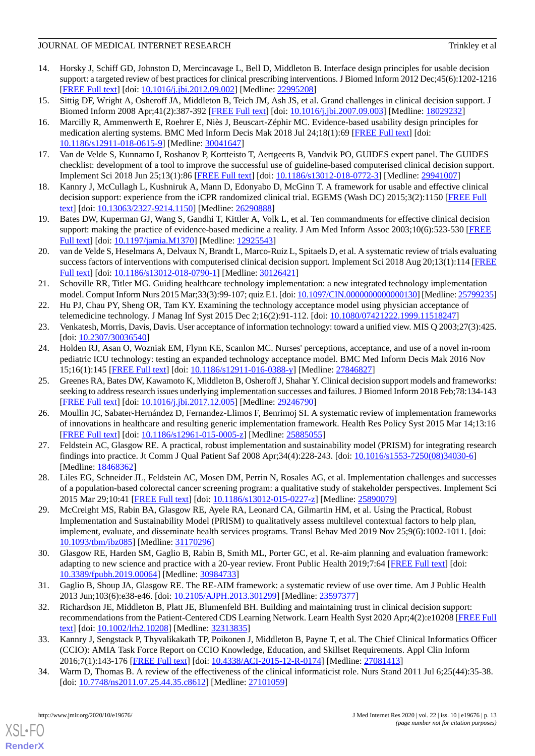- 14. Horsky J, Schiff GD, Johnston D, Mercincavage L, Bell D, Middleton B. Interface design principles for usable decision support: a targeted review of best practices for clinical prescribing interventions. J Biomed Inform 2012 Dec;45(6):1202-1216 [[FREE Full text](https://linkinghub.elsevier.com/retrieve/pii/S1532-0464(12)00149-9)] [doi: [10.1016/j.jbi.2012.09.002](http://dx.doi.org/10.1016/j.jbi.2012.09.002)] [Medline: [22995208\]](http://www.ncbi.nlm.nih.gov/entrez/query.fcgi?cmd=Retrieve&db=PubMed&list_uids=22995208&dopt=Abstract)
- <span id="page-12-1"></span>15. Sittig DF, Wright A, Osheroff JA, Middleton B, Teich JM, Ash JS, et al. Grand challenges in clinical decision support. J Biomed Inform 2008 Apr;41(2):387-392 [\[FREE Full text\]](https://linkinghub.elsevier.com/retrieve/pii/S1532-0464(07)00104-9) [doi: [10.1016/j.jbi.2007.09.003\]](http://dx.doi.org/10.1016/j.jbi.2007.09.003) [Medline: [18029232](http://www.ncbi.nlm.nih.gov/entrez/query.fcgi?cmd=Retrieve&db=PubMed&list_uids=18029232&dopt=Abstract)]
- 16. Marcilly R, Ammenwerth E, Roehrer E, Niès J, Beuscart-Zéphir MC. Evidence-based usability design principles for medication alerting systems. BMC Med Inform Decis Mak 2018 Jul 24;18(1):69 [[FREE Full text](https://bmcmedinformdecismak.biomedcentral.com/articles/10.1186/s12911-018-0615-9)] [doi: [10.1186/s12911-018-0615-9\]](http://dx.doi.org/10.1186/s12911-018-0615-9) [Medline: [30041647](http://www.ncbi.nlm.nih.gov/entrez/query.fcgi?cmd=Retrieve&db=PubMed&list_uids=30041647&dopt=Abstract)]
- <span id="page-12-0"></span>17. Van de Velde S, Kunnamo I, Roshanov P, Kortteisto T, Aertgeerts B, Vandvik PO, GUIDES expert panel. The GUIDES checklist: development of a tool to improve the successful use of guideline-based computerised clinical decision support. Implement Sci 2018 Jun 25;13(1):86 [[FREE Full text\]](https://implementationscience.biomedcentral.com/articles/10.1186/s13012-018-0772-3) [doi: [10.1186/s13012-018-0772-3](http://dx.doi.org/10.1186/s13012-018-0772-3)] [Medline: [29941007](http://www.ncbi.nlm.nih.gov/entrez/query.fcgi?cmd=Retrieve&db=PubMed&list_uids=29941007&dopt=Abstract)]
- <span id="page-12-2"></span>18. Kannry J, McCullagh L, Kushniruk A, Mann D, Edonyabo D, McGinn T. A framework for usable and effective clinical decision support: experience from the iCPR randomized clinical trial. EGEMS (Wash DC) 2015;3(2):1150 [[FREE Full](http://europepmc.org/abstract/MED/26290888) [text](http://europepmc.org/abstract/MED/26290888)] [doi: [10.13063/2327-9214.1150\]](http://dx.doi.org/10.13063/2327-9214.1150) [Medline: [26290888](http://www.ncbi.nlm.nih.gov/entrez/query.fcgi?cmd=Retrieve&db=PubMed&list_uids=26290888&dopt=Abstract)]
- <span id="page-12-3"></span>19. Bates DW, Kuperman GJ, Wang S, Gandhi T, Kittler A, Volk L, et al. Ten commandments for effective clinical decision support: making the practice of evidence-based medicine a reality. J Am Med Inform Assoc 2003;10(6):523-530 [\[FREE](http://europepmc.org/abstract/MED/12925543) [Full text\]](http://europepmc.org/abstract/MED/12925543) [doi: [10.1197/jamia.M1370](http://dx.doi.org/10.1197/jamia.M1370)] [Medline: [12925543\]](http://www.ncbi.nlm.nih.gov/entrez/query.fcgi?cmd=Retrieve&db=PubMed&list_uids=12925543&dopt=Abstract)
- <span id="page-12-4"></span>20. van de Velde S, Heselmans A, Delvaux N, Brandt L, Marco-Ruiz L, Spitaels D, et al. A systematic review of trials evaluating success factors of interventions with computerised clinical decision support. Implement Sci 2018 Aug 20;13(1):114 [\[FREE](https://implementationscience.biomedcentral.com/articles/10.1186/s13012-018-0790-1) [Full text\]](https://implementationscience.biomedcentral.com/articles/10.1186/s13012-018-0790-1) [doi: [10.1186/s13012-018-0790-1](http://dx.doi.org/10.1186/s13012-018-0790-1)] [Medline: [30126421](http://www.ncbi.nlm.nih.gov/entrez/query.fcgi?cmd=Retrieve&db=PubMed&list_uids=30126421&dopt=Abstract)]
- 21. Schoville RR, Titler MG. Guiding healthcare technology implementation: a new integrated technology implementation model. Comput Inform Nurs 2015 Mar;33(3):99-107; quiz E1. [doi: [10.1097/CIN.0000000000000130](http://dx.doi.org/10.1097/CIN.0000000000000130)] [Medline: [25799235\]](http://www.ncbi.nlm.nih.gov/entrez/query.fcgi?cmd=Retrieve&db=PubMed&list_uids=25799235&dopt=Abstract)
- <span id="page-12-5"></span>22. Hu PJ, Chau PY, Sheng OR, Tam KY. Examining the technology acceptance model using physician acceptance of telemedicine technology. J Manag Inf Syst 2015 Dec 2;16(2):91-112. [doi: [10.1080/07421222.1999.11518247\]](http://dx.doi.org/10.1080/07421222.1999.11518247)
- 23. Venkatesh, Morris, Davis, Davis. User acceptance of information technology: toward a unified view. MIS Q 2003;27(3):425. [doi: [10.2307/30036540](http://dx.doi.org/10.2307/30036540)]
- <span id="page-12-6"></span>24. Holden RJ, Asan O, Wozniak EM, Flynn KE, Scanlon MC. Nurses' perceptions, acceptance, and use of a novel in-room pediatric ICU technology: testing an expanded technology acceptance model. BMC Med Inform Decis Mak 2016 Nov 15;16(1):145 [[FREE Full text\]](https://bmcmedinformdecismak.biomedcentral.com/articles/10.1186/s12911-016-0388-y) [doi: [10.1186/s12911-016-0388-y](http://dx.doi.org/10.1186/s12911-016-0388-y)] [Medline: [27846827](http://www.ncbi.nlm.nih.gov/entrez/query.fcgi?cmd=Retrieve&db=PubMed&list_uids=27846827&dopt=Abstract)]
- <span id="page-12-7"></span>25. Greenes RA, Bates DW, Kawamoto K, Middleton B, Osheroff J, Shahar Y. Clinical decision support models and frameworks: seeking to address research issues underlying implementation successes and failures. J Biomed Inform 2018 Feb;78:134-143 [[FREE Full text](https://linkinghub.elsevier.com/retrieve/pii/S1532-0464(17)30275-7)] [doi: [10.1016/j.jbi.2017.12.005](http://dx.doi.org/10.1016/j.jbi.2017.12.005)] [Medline: [29246790\]](http://www.ncbi.nlm.nih.gov/entrez/query.fcgi?cmd=Retrieve&db=PubMed&list_uids=29246790&dopt=Abstract)
- <span id="page-12-12"></span>26. Moullin JC, Sabater-Hernández D, Fernandez-Llimos F, Benrimoj SI. A systematic review of implementation frameworks of innovations in healthcare and resulting generic implementation framework. Health Res Policy Syst 2015 Mar 14;13:16 [[FREE Full text](https://health-policy-systems.biomedcentral.com/articles/10.1186/s12961-015-0005-z)] [doi: [10.1186/s12961-015-0005-z](http://dx.doi.org/10.1186/s12961-015-0005-z)] [Medline: [25885055\]](http://www.ncbi.nlm.nih.gov/entrez/query.fcgi?cmd=Retrieve&db=PubMed&list_uids=25885055&dopt=Abstract)
- 27. Feldstein AC, Glasgow RE. A practical, robust implementation and sustainability model (PRISM) for integrating research findings into practice. Jt Comm J Qual Patient Saf 2008 Apr;34(4):228-243. [doi: [10.1016/s1553-7250\(08\)34030-6\]](http://dx.doi.org/10.1016/s1553-7250(08)34030-6) [Medline: [18468362](http://www.ncbi.nlm.nih.gov/entrez/query.fcgi?cmd=Retrieve&db=PubMed&list_uids=18468362&dopt=Abstract)]
- 28. Liles EG, Schneider JL, Feldstein AC, Mosen DM, Perrin N, Rosales AG, et al. Implementation challenges and successes of a population-based colorectal cancer screening program: a qualitative study of stakeholder perspectives. Implement Sci 2015 Mar 29;10:41 [[FREE Full text\]](https://implementationscience.biomedcentral.com/articles/10.1186/s13012-015-0227-z) [doi: [10.1186/s13012-015-0227-z\]](http://dx.doi.org/10.1186/s13012-015-0227-z) [Medline: [25890079\]](http://www.ncbi.nlm.nih.gov/entrez/query.fcgi?cmd=Retrieve&db=PubMed&list_uids=25890079&dopt=Abstract)
- <span id="page-12-9"></span><span id="page-12-8"></span>29. McCreight MS, Rabin BA, Glasgow RE, Ayele RA, Leonard CA, Gilmartin HM, et al. Using the Practical, Robust Implementation and Sustainability Model (PRISM) to qualitatively assess multilevel contextual factors to help plan, implement, evaluate, and disseminate health services programs. Transl Behav Med 2019 Nov 25;9(6):1002-1011. [doi: [10.1093/tbm/ibz085](http://dx.doi.org/10.1093/tbm/ibz085)] [Medline: [31170296](http://www.ncbi.nlm.nih.gov/entrez/query.fcgi?cmd=Retrieve&db=PubMed&list_uids=31170296&dopt=Abstract)]
- <span id="page-12-10"></span>30. Glasgow RE, Harden SM, Gaglio B, Rabin B, Smith ML, Porter GC, et al. Re-aim planning and evaluation framework: adapting to new science and practice with a 20-year review. Front Public Health 2019;7:64 [[FREE Full text](https://doi.org/10.3389/fpubh.2019.00064)] [doi: [10.3389/fpubh.2019.00064](http://dx.doi.org/10.3389/fpubh.2019.00064)] [Medline: [30984733\]](http://www.ncbi.nlm.nih.gov/entrez/query.fcgi?cmd=Retrieve&db=PubMed&list_uids=30984733&dopt=Abstract)
- <span id="page-12-11"></span>31. Gaglio B, Shoup JA, Glasgow RE. The RE-AIM framework: a systematic review of use over time. Am J Public Health 2013 Jun;103(6):e38-e46. [doi: [10.2105/AJPH.2013.301299\]](http://dx.doi.org/10.2105/AJPH.2013.301299) [Medline: [23597377\]](http://www.ncbi.nlm.nih.gov/entrez/query.fcgi?cmd=Retrieve&db=PubMed&list_uids=23597377&dopt=Abstract)
- 32. Richardson JE, Middleton B, Platt JE, Blumenfeld BH. Building and maintaining trust in clinical decision support: recommendations from the Patient-Centered CDS Learning Network. Learn Health Syst 2020 Apr;4(2):e10208 [\[FREE Full](https://doi.org/10.1002/lrh2.10208) [text](https://doi.org/10.1002/lrh2.10208)] [doi: [10.1002/lrh2.10208\]](http://dx.doi.org/10.1002/lrh2.10208) [Medline: [32313835](http://www.ncbi.nlm.nih.gov/entrez/query.fcgi?cmd=Retrieve&db=PubMed&list_uids=32313835&dopt=Abstract)]
- 33. Kannry J, Sengstack P, Thyvalikakath TP, Poikonen J, Middleton B, Payne T, et al. The Chief Clinical Informatics Officer (CCIO): AMIA Task Force Report on CCIO Knowledge, Education, and Skillset Requirements. Appl Clin Inform 2016;7(1):143-176 [[FREE Full text](http://europepmc.org/abstract/MED/27081413)] [doi: [10.4338/ACI-2015-12-R-0174\]](http://dx.doi.org/10.4338/ACI-2015-12-R-0174) [Medline: [27081413](http://www.ncbi.nlm.nih.gov/entrez/query.fcgi?cmd=Retrieve&db=PubMed&list_uids=27081413&dopt=Abstract)]
- 34. Warm D, Thomas B. A review of the effectiveness of the clinical informaticist role. Nurs Stand 2011 Jul 6;25(44):35-38. [doi: [10.7748/ns2011.07.25.44.35.c8612](http://dx.doi.org/10.7748/ns2011.07.25.44.35.c8612)] [Medline: [27101059\]](http://www.ncbi.nlm.nih.gov/entrez/query.fcgi?cmd=Retrieve&db=PubMed&list_uids=27101059&dopt=Abstract)

[XSL](http://www.w3.org/Style/XSL)•FO **[RenderX](http://www.renderx.com/)**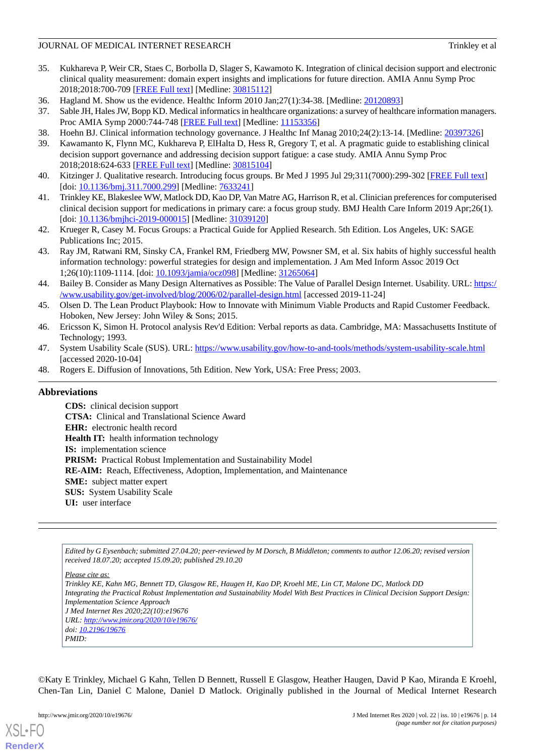- 35. Kukhareva P, Weir CR, Staes C, Borbolla D, Slager S, Kawamoto K. Integration of clinical decision support and electronic clinical quality measurement: domain expert insights and implications for future direction. AMIA Annu Symp Proc 2018;2018:700-709 [\[FREE Full text\]](http://europepmc.org/abstract/MED/30815112) [Medline: [30815112](http://www.ncbi.nlm.nih.gov/entrez/query.fcgi?cmd=Retrieve&db=PubMed&list_uids=30815112&dopt=Abstract)]
- <span id="page-13-0"></span>36. Hagland M. Show us the evidence. Healthc Inform 2010 Jan;27(1):34-38. [Medline: [20120893](http://www.ncbi.nlm.nih.gov/entrez/query.fcgi?cmd=Retrieve&db=PubMed&list_uids=20120893&dopt=Abstract)]
- <span id="page-13-1"></span>37. Sable JH, Hales JW, Bopp KD. Medical informatics in healthcare organizations: a survey of healthcare information managers. Proc AMIA Symp 2000:744-748 [\[FREE Full text\]](http://europepmc.org/abstract/MED/11153356) [Medline: [11153356](http://www.ncbi.nlm.nih.gov/entrez/query.fcgi?cmd=Retrieve&db=PubMed&list_uids=11153356&dopt=Abstract)]
- <span id="page-13-2"></span>38. Hoehn BJ. Clinical information technology governance. J Healthc Inf Manag 2010;24(2):13-14. [Medline: [20397326\]](http://www.ncbi.nlm.nih.gov/entrez/query.fcgi?cmd=Retrieve&db=PubMed&list_uids=20397326&dopt=Abstract)
- <span id="page-13-3"></span>39. Kawamanto K, Flynn MC, Kukhareva P, ElHalta D, Hess R, Gregory T, et al. A pragmatic guide to establishing clinical decision support governance and addressing decision support fatigue: a case study. AMIA Annu Symp Proc 2018;2018:624-633 [\[FREE Full text\]](http://europepmc.org/abstract/MED/30815104) [Medline: [30815104](http://www.ncbi.nlm.nih.gov/entrez/query.fcgi?cmd=Retrieve&db=PubMed&list_uids=30815104&dopt=Abstract)]
- <span id="page-13-4"></span>40. Kitzinger J. Qualitative research. Introducing focus groups. Br Med J 1995 Jul 29;311(7000):299-302 [[FREE Full text](http://europepmc.org/abstract/MED/7633241)] [doi: [10.1136/bmj.311.7000.299](http://dx.doi.org/10.1136/bmj.311.7000.299)] [Medline: [7633241](http://www.ncbi.nlm.nih.gov/entrez/query.fcgi?cmd=Retrieve&db=PubMed&list_uids=7633241&dopt=Abstract)]
- <span id="page-13-5"></span>41. Trinkley KE, Blakeslee WW, Matlock DD, Kao DP, Van Matre AG, Harrison R, et al. Clinician preferences for computerised clinical decision support for medications in primary care: a focus group study. BMJ Health Care Inform 2019 Apr;26(1). [doi: [10.1136/bmjhci-2019-000015\]](http://dx.doi.org/10.1136/bmjhci-2019-000015) [Medline: [31039120](http://www.ncbi.nlm.nih.gov/entrez/query.fcgi?cmd=Retrieve&db=PubMed&list_uids=31039120&dopt=Abstract)]
- <span id="page-13-6"></span>42. Krueger R, Casey M. Focus Groups: a Practical Guide for Applied Research. 5th Edition. Los Angeles, UK: SAGE Publications Inc; 2015.
- <span id="page-13-7"></span>43. Ray JM, Ratwani RM, Sinsky CA, Frankel RM, Friedberg MW, Powsner SM, et al. Six habits of highly successful health information technology: powerful strategies for design and implementation. J Am Med Inform Assoc 2019 Oct 1;26(10):1109-1114. [doi: [10.1093/jamia/ocz098\]](http://dx.doi.org/10.1093/jamia/ocz098) [Medline: [31265064](http://www.ncbi.nlm.nih.gov/entrez/query.fcgi?cmd=Retrieve&db=PubMed&list_uids=31265064&dopt=Abstract)]
- <span id="page-13-8"></span>44. Bailey B. Consider as Many Design Alternatives as Possible: The Value of Parallel Design Internet. Usability. URL: [https:/](https://www.usability.gov/get-involved/blog/2006/02/parallel-design.html) [/www.usability.gov/get-involved/blog/2006/02/parallel-design.html](https://www.usability.gov/get-involved/blog/2006/02/parallel-design.html) [accessed 2019-11-24]
- <span id="page-13-10"></span><span id="page-13-9"></span>45. Olsen D. The Lean Product Playbook: How to Innovate with Minimum Viable Products and Rapid Customer Feedback. Hoboken, New Jersey: John Wiley & Sons; 2015.
- <span id="page-13-11"></span>46. Ericsson K, Simon H. Protocol analysis Rev'd Edition: Verbal reports as data. Cambridge, MA: Massachusetts Institute of Technology; 1993.
- 47. System Usability Scale (SUS). URL:<https://www.usability.gov/how-to-and-tools/methods/system-usability-scale.html> [accessed 2020-10-04]
- 48. Rogers E. Diffusion of Innovations, 5th Edition. New York, USA: Free Press; 2003.

# **Abbreviations**

**CDS:** clinical decision support **CTSA:** Clinical and Translational Science Award **EHR:** electronic health record **Health IT:** health information technology **IS:** implementation science PRISM: Practical Robust Implementation and Sustainability Model **RE-AIM:** Reach, Effectiveness, Adoption, Implementation, and Maintenance **SME:** subject matter expert **SUS:** System Usability Scale **UI:** user interface

*Edited by G Eysenbach; submitted 27.04.20; peer-reviewed by M Dorsch, B Middleton; comments to author 12.06.20; revised version received 18.07.20; accepted 15.09.20; published 29.10.20*

*Please cite as:*

*Trinkley KE, Kahn MG, Bennett TD, Glasgow RE, Haugen H, Kao DP, Kroehl ME, Lin CT, Malone DC, Matlock DD Integrating the Practical Robust Implementation and Sustainability Model With Best Practices in Clinical Decision Support Design: Implementation Science Approach J Med Internet Res 2020;22(10):e19676 URL: <http://www.jmir.org/2020/10/e19676/> doi: [10.2196/19676](http://dx.doi.org/10.2196/19676) PMID:*

©Katy E Trinkley, Michael G Kahn, Tellen D Bennett, Russell E Glasgow, Heather Haugen, David P Kao, Miranda E Kroehl, Chen-Tan Lin, Daniel C Malone, Daniel D Matlock. Originally published in the Journal of Medical Internet Research

[XSL](http://www.w3.org/Style/XSL)•FO **[RenderX](http://www.renderx.com/)**